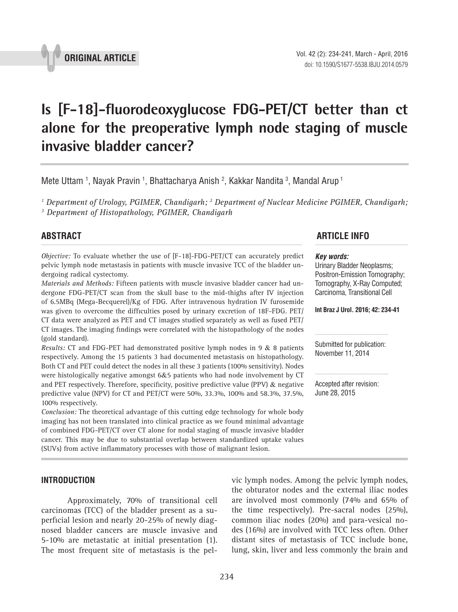

# **Is [F-18]-fluorodeoxyglucose FDG-PET/CT better than ct alone for the preoperative lymph node staging of muscle invasive bladder cancer? \_\_\_\_\_\_\_\_\_\_\_\_\_\_\_\_\_\_\_\_\_\_\_\_\_\_\_\_\_\_\_\_\_\_\_\_\_\_\_\_\_\_\_\_\_\_\_**

Mete Uttam <sup>1</sup>, Nayak Pravin <sup>1</sup>, Bhattacharya Anish <sup>2</sup>, Kakkar Nandita <sup>3</sup>, Mandal Arup <sup>1</sup>

<sup>1</sup> Department of Urology, PGIMER, Chandigarh; <sup>2</sup> Department of Nuclear Medicine PGIMER, Chandigarh;<br><sup>3</sup> Department of Histonathology, PGIMER, Chandigarh  *Department of Histopathology, PGIMER, Chandigarh*

*Objective:* To evaluate whether the use of [F-18]-FDG-PET/CT can accurately predict pelvic lymph node metastasis in patients with muscle invasive TCC of the bladder undergoing radical cystectomy.

*Materials and Methods:* Fifteen patients with muscle invasive bladder cancer had undergone FDG-PET/CT scan from the skull base to the mid-thighs after IV injection of 6.5MBq (Mega-Becquerel)/Kg of FDG. After intravenous hydration IV furosemide was given to overcome the difficulties posed by urinary excretion of 18F-FDG. PET/ CT data were analyzed as PET and CT images studied separately as well as fused PET/ CT images. The imaging findings were correlated with the histopathology of the nodes (gold standard).

*Results:* CT and FDG-PET had demonstrated positive lymph nodes in 9 & 8 patients respectively. Among the 15 patients 3 had documented metastasis on histopathology. Both CT and PET could detect the nodes in all these 3 patients (100% sensitivity). Nodes were histologically negative amongst 6&5 patients who had node involvement by CT and PET respectively. Therefore, specificity, positive predictive value (PPV)  $\&$  negative predictive value (NPV) for CT and PET/CT were 50%, 33.3%, 100% and 58.3%, 37.5%, 100% respectively.

*Conclusion:* The theoretical advantage of this cutting edge technology for whole body imaging has not been translated into clinical practice as we found minimal advantage of combined FDG-PET/CT over CT alone for nodal staging of muscle invasive bladder cancer. This may be due to substantial overlap between standardized uptake values (SUVs) from active inflammatory processes with those of malignant lesion.

# **ABSTRACT ARTICLE INFO** *\_\_\_\_\_\_\_\_\_\_\_\_\_\_\_\_\_\_\_\_\_\_\_\_\_\_\_\_\_\_\_\_\_\_\_\_\_\_\_\_\_\_\_\_\_\_\_\_\_\_\_\_\_\_\_\_\_\_\_\_\_\_ \_\_\_\_\_\_\_\_\_\_\_\_\_\_\_\_\_\_\_\_\_\_*

#### *Key words:*

Urinary Bladder Neoplasms; Positron-Emission Tomography; Tomography, X-Ray Computed; Carcinoma, Transitional Cell

**Int Braz J Urol. 2016; 42: 234-41**

Submitted for publication: November 11, 2014

Accepted after revision: June 28, 2015

# **INTRODUCTION**

Approximately, 70% of transitional cell carcinomas (TCC) of the bladder present as a superficial lesion and nearly 20-25% of newly diagnosed bladder cancers are muscle invasive and 5-10% are metastatic at initial presentation (1). The most frequent site of metastasis is the pelvic lymph nodes. Among the pelvic lymph nodes, the obturator nodes and the external iliac nodes are involved most commonly (74% and 65% of the time respectively). Pre-sacral nodes (25%), common iliac nodes (20%) and para-vesical nodes (16%) are involved with TCC less often. Other distant sites of metastasis of TCC include bone, lung, skin, liver and less commonly the brain and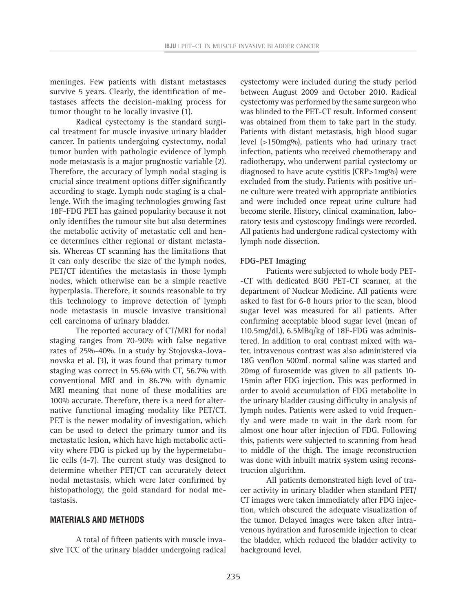meninges. Few patients with distant metastases survive 5 years. Clearly, the identification of metastases affects the decision-making process for tumor thought to be locally invasive (1).

Radical cystectomy is the standard surgical treatment for muscle invasive urinary bladder cancer. In patients undergoing cystectomy, nodal tumor burden with pathologic evidence of lymph node metastasis is a major prognostic variable (2). Therefore, the accuracy of lymph nodal staging is crucial since treatment options differ significantly according to stage. Lymph node staging is a challenge. With the imaging technologies growing fast 18F-FDG PET has gained popularity because it not only identifies the tumour site but also determines the metabolic activity of metastatic cell and hence determines either regional or distant metastasis. Whereas CT scanning has the limitations that it can only describe the size of the lymph nodes, PET/CT identifies the metastasis in those lymph nodes, which otherwise can be a simple reactive hyperplasia. Therefore, it sounds reasonable to try this technology to improve detection of lymph node metastasis in muscle invasive transitional cell carcinoma of urinary bladder.

The reported accuracy of CT/MRI for nodal staging ranges from 70-90% with false negative rates of 25%-40%. In a study by Stojovska-Jovanovska et al. (3), it was found that primary tumor staging was correct in 55.6% with CT, 56.7% with conventional MRI and in 86.7% with dynamic MRI meaning that none of these modalities are 100% accurate. Therefore, there is a need for alternative functional imaging modality like PET/CT. PET is the newer modality of investigation, which can be used to detect the primary tumor and its metastatic lesion, which have high metabolic activity where FDG is picked up by the hypermetabolic cells (4-7). The current study was designed to determine whether PET/CT can accurately detect nodal metastasis, which were later confirmed by histopathology, the gold standard for nodal metastasis.

# **MATERIALS AND METHODS**

A total of fifteen patients with muscle invasive TCC of the urinary bladder undergoing radical cystectomy were included during the study period between August 2009 and October 2010. Radical cystectomy was performed by the same surgeon who was blinded to the PET-CT result. Informed consent was obtained from them to take part in the study. Patients with distant metastasis, high blood sugar level (>150mg%), patients who had urinary tract infection, patients who received chemotherapy and radiotherapy, who underwent partial cystectomy or diagnosed to have acute cystitis (CRP>1mg%) were excluded from the study. Patients with positive urine culture were treated with appropriate antibiotics and were included once repeat urine culture had become sterile. History, clinical examination, laboratory tests and cystoscopy findings were recorded. All patients had undergone radical cystectomy with lymph node dissection.

#### **FDG-PET Imaging**

Patients were subjected to whole body PET- -CT with dedicated BGO PET-CT scanner, at the department of Nuclear Medicine. All patients were asked to fast for 6-8 hours prior to the scan, blood sugar level was measured for all patients. After confirming acceptable blood sugar level (mean of 110.5mg/dL), 6.5MBq/kg of 18F-FDG was administered. In addition to oral contrast mixed with water, intravenous contrast was also administered via 18G venflon 500mL normal saline was started and 20mg of furosemide was given to all patients 10- 15min after FDG injection. This was performed in order to avoid accumulation of FDG metabolite in the urinary bladder causing difficulty in analysis of lymph nodes. Patients were asked to void frequently and were made to wait in the dark room for almost one hour after injection of FDG. Following this, patients were subjected to scanning from head to middle of the thigh. The image reconstruction was done with inbuilt matrix system using reconstruction algorithm.

All patients demonstrated high level of tracer activity in urinary bladder when standard PET/ CT images were taken immediately after FDG injection, which obscured the adequate visualization of the tumor. Delayed images were taken after intravenous hydration and furosemide injection to clear the bladder, which reduced the bladder activity to background level.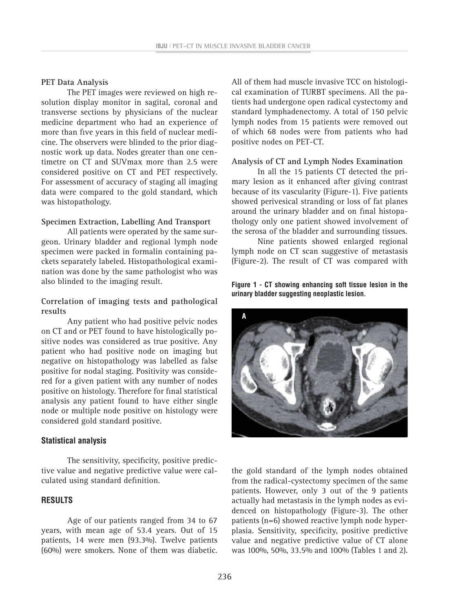# **PET Data Analysis**

The PET images were reviewed on high resolution display monitor in sagital, coronal and transverse sections by physicians of the nuclear medicine department who had an experience of more than five years in this field of nuclear medicine. The observers were blinded to the prior diagnostic work up data. Nodes greater than one centimetre on CT and SUVmax more than 2.5 were considered positive on CT and PET respectively. For assessment of accuracy of staging all imaging data were compared to the gold standard, which was histopathology.

#### **Specimen Extraction, Labelling And Transport**

All patients were operated by the same surgeon. Urinary bladder and regional lymph node specimen were packed in formalin containing packets separately labeled. Histopathological examination was done by the same pathologist who was also blinded to the imaging result.

# **Correlation of imaging tests and pathological results**

Any patient who had positive pelvic nodes on CT and or PET found to have histologically positive nodes was considered as true positive. Any patient who had positive node on imaging but negative on histopathology was labelled as false positive for nodal staging. Positivity was considered for a given patient with any number of nodes positive on histology. Therefore for final statistical analysis any patient found to have either single node or multiple node positive on histology were considered gold standard positive.

# **Statistical analysis**

The sensitivity, specificity, positive predictive value and negative predictive value were calculated using standard definition.

# **RESULTS**

Age of our patients ranged from 34 to 67 years, with mean age of 53.4 years. Out of 15 patients, 14 were men (93.3%). Twelve patients (60%) were smokers. None of them was diabetic.

All of them had muscle invasive TCC on histological examination of TURBT specimens. All the patients had undergone open radical cystectomy and standard lymphadenectomy. A total of 150 pelvic lymph nodes from 15 patients were removed out of which 68 nodes were from patients who had positive nodes on PET-CT.

#### **Analysis of CT and Lymph Nodes Examination**

In all the 15 patients CT detected the primary lesion as it enhanced after giving contrast because of its vascularity (Figure-1). Five patients showed perivesical stranding or loss of fat planes around the urinary bladder and on final histopathology only one patient showed involvement of the serosa of the bladder and surrounding tissues.

Nine patients showed enlarged regional lymph node on CT scan suggestive of metastasis (Figure-2). The result of CT was compared with

**Figure 1 - CT showing enhancing soft tissue lesion in the urinary bladder suggesting neoplastic lesion.**



the gold standard of the lymph nodes obtained from the radical-cystectomy specimen of the same patients. However, only 3 out of the 9 patients actually had metastasis in the lymph nodes as evidenced on histopathology (Figure-3). The other patients (n=6) showed reactive lymph node hyperplasia. Sensitivity, specificity, positive predictive value and negative predictive value of CT alone was 100%, 50%, 33.5% and 100% (Tables 1 and 2).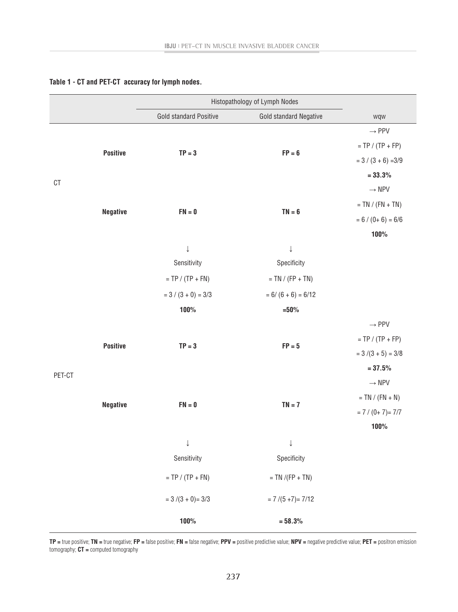|                         |                 | Histopathology of Lymph Nodes |                        |                       |
|-------------------------|-----------------|-------------------------------|------------------------|-----------------------|
|                         |                 | Gold standard Positive        | Gold standard Negative | wqw                   |
| $\mathbb{C} \mathbb{T}$ | <b>Positive</b> | $TP = 3$                      |                        | $\rightarrow$ PPV     |
|                         |                 |                               | $FP = 6$               | $= TP / (TP + FP)$    |
|                         |                 |                               |                        | $= 3 / (3 + 6) = 3/9$ |
|                         |                 |                               |                        | $= 33.3%$             |
|                         |                 | $FN = 0$                      | $TN = 6$               | $\rightarrow$ NPV     |
|                         | <b>Negative</b> |                               |                        | $= TN / (FN + TN)$    |
|                         |                 |                               |                        | $= 6 / (0 + 6) = 6/6$ |
|                         |                 |                               |                        | 100%                  |
|                         |                 | $\downarrow$                  | $\downarrow$           |                       |
|                         |                 | Sensitivity                   | Specificity            |                       |
|                         |                 | $= TP / (TP + FN)$            | $= TN / (FP + TN)$     |                       |
|                         |                 | $= 3 / (3 + 0) = 3/3$         | $= 6/(6 + 6) = 6/12$   |                       |
|                         |                 | 100%                          | $=50%$                 |                       |
|                         | <b>Positive</b> | $TP = 3$                      | $FP = 5$               | $\rightarrow$ PPV     |
|                         |                 |                               |                        | $= TP / (TP + FP)$    |
|                         |                 |                               |                        | $= 3/(3 + 5) = 3/8$   |
| PET-CT                  |                 |                               |                        |                       |
|                         | <b>Negative</b> | $FN = 0$                      |                        | $\rightarrow$ NPV     |
|                         |                 |                               | $TN = 7$               | $= TN / (FN + N)$     |
|                         |                 |                               |                        | $= 7 / (0 + 7) = 7/7$ |
|                         |                 |                               |                        | 100%                  |
|                         |                 | $\downarrow$                  | $\downarrow$           |                       |
|                         |                 | Sensitivity                   | Specificity            |                       |
|                         |                 | $= TP / (TP + FN)$            | $= TN / (FP + TN)$     |                       |
|                         |                 | $= 3/(3 + 0) = 3/3$           | $= 7/(5+7) = 7/12$     |                       |
|                         |                 | 100%                          | $= 58.3%$              |                       |

#### **Table 1 - CT and PET-CT accuracy for lymph nodes.**

**TP =** true positive; **TN =** true negative; **FP =** false positive; **FN =** false negative; **PPV =** positive predictive value; **NPV =** negative predictive value; **PET =** positron emission tomography; **CT =** computed tomography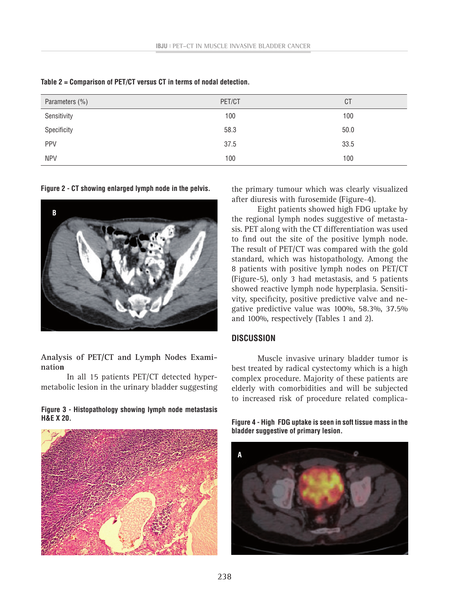| Parameters (%) | PET/CT | <b>CT</b> |
|----------------|--------|-----------|
| Sensitivity    | 100    | 100       |
| Specificity    | 58.3   | 50.0      |
| PPV            | 37.5   | 33.5      |
| <b>NPV</b>     | 100    | 100       |

**Table 2 = Comparison of PET/CT versus CT in terms of nodal detection.**

**Figure 2 - CT showing enlarged lymph node in the pelvis.**



**Analysis of PET/CT and Lymph Nodes Examination**

In all 15 patients PET/CT detected hypermetabolic lesion in the urinary bladder suggesting

#### **Figure 3 - Histopathology showing lymph node metastasis H&E X 20.**



the primary tumour which was clearly visualized after diuresis with furosemide (Figure-4).

Eight patients showed high FDG uptake by the regional lymph nodes suggestive of metastasis. PET along with the CT differentiation was used to find out the site of the positive lymph node. The result of PET/CT was compared with the gold standard, which was histopathology. Among the 8 patients with positive lymph nodes on PET/CT (Figure-5), only 3 had metastasis, and 5 patients showed reactive lymph node hyperplasia. Sensitivity, specificity, positive predictive valve and negative predictive value was 100%, 58.3%, 37.5% and 100%, respectively (Tables 1 and 2).

# **DISCUSSION**

Muscle invasive urinary bladder tumor is best treated by radical cystectomy which is a high complex procedure. Majority of these patients are elderly with comorbidities and will be subjected to increased risk of procedure related complica-

**Figure 4 - High FDG uptake is seen in soft tissue mass in the bladder suggestive of primary lesion.**

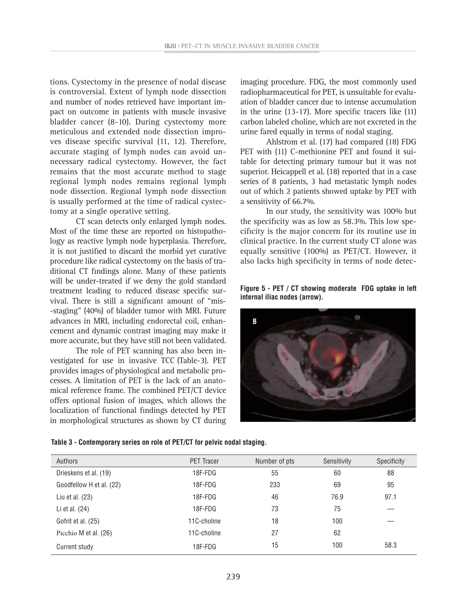tions. Cystectomy in the presence of nodal disease is controversial. Extent of lymph node dissection and number of nodes retrieved have important impact on outcome in patients with muscle invasive bladder cancer (8-10). During cystectomy more meticulous and extended node dissection improves disease specific survival (11, 12). Therefore, accurate staging of lymph nodes can avoid unnecessary radical cystectomy. However, the fact remains that the most accurate method to stage regional lymph nodes remains regional lymph node dissection. Regional lymph node dissection is usually performed at the time of radical cystectomy at a single operative setting.

CT scan detects only enlarged lymph nodes. Most of the time these are reported on histopathology as reactive lymph node hyperplasia. Therefore, it is not justified to discard the morbid yet curative procedure like radical cystectomy on the basis of traditional CT findings alone. Many of these patients will be under-treated if we deny the gold standard treatment leading to reduced disease specific survival. There is still a significant amount of "mis- -staging" (40%) of bladder tumor with MRI. Future advances in MRI, including endorectal coil, enhancement and dynamic contrast imaging may make it more accurate, but they have still not been validated.

The role of PET scanning has also been investigated for use in invasive TCC (Table-3). PET provides images of physiological and metabolic processes. A limitation of PET is the lack of an anatomical reference frame. The combined PET/CT device offers optional fusion of images, which allows the localization of functional findings detected by PET in morphological structures as shown by CT during imaging procedure. FDG, the most commonly used radiopharmaceutical for PET, is unsuitable for evaluation of bladder cancer due to intense accumulation in the urine (13-17). More specific tracers like (11) carbon labeled choline, which are not excreted in the urine fared equally in terms of nodal staging.

Ahlstrom et al. (17) had compared (18) FDG PET with (11) C-methionine PET and found it suitable for detecting primary tumour but it was not superior. Heicappell et al. (18) reported that in a case series of 8 patients, 3 had metastatic lymph nodes out of which 2 patients showed uptake by PET with a sensitivity of 66.7%.

In our study, the sensitivity was 100% but the specificity was as low as 58.3%. This low specificity is the major concern for its routine use in clinical practice. In the current study CT alone was equally sensitive (100%) as PET/CT. However, it also lacks high specificity in terms of node detec-

**Figure 5 - PET / CT showing moderate FDG uptake in left internal iliac nodes (arrow).** 



| Authors                  | <b>PET Tracer</b> | Number of pts | Sensitivity | Specificity |
|--------------------------|-------------------|---------------|-------------|-------------|
| Drieskens et al. (19)    | 18F-FDG           | 55            | 60          | 88          |
| Goodfellow H et al. (22) | 18F-FDG           | 233           | 69          | 95          |
| Liu et al. $(23)$        | 18F-FDG           | 46            | 76.9        | 97.1        |
| Li et al. (24)           | 18F-FDG           | 73            | 75          |             |
| Gofrit et al. (25)       | 11C-choline       | 18            | 100         |             |
| Picchio M et al. (26)    | 11C-choline       | 27            | 62          |             |
| Current study            | 18F-FDG           | 15            | 100         | 58.3        |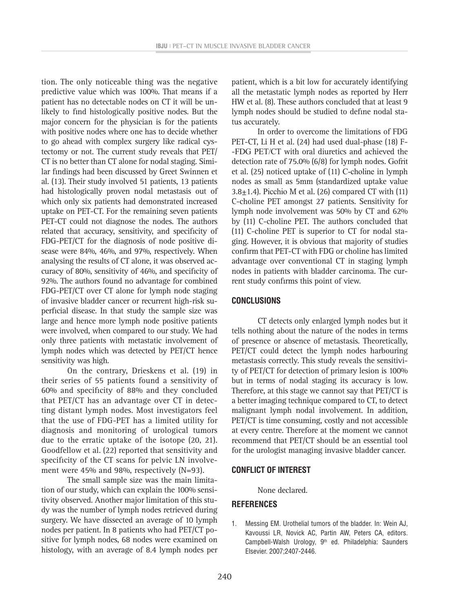tion. The only noticeable thing was the negative predictive value which was 100%. That means if a patient has no detectable nodes on CT it will be unlikely to find histologically positive nodes. But the major concern for the physician is for the patients with positive nodes where one has to decide whether to go ahead with complex surgery like radical cystectomy or not. The current study reveals that PET/ CT is no better than CT alone for nodal staging. Similar findings had been discussed by Greet Swinnen et al. (13). Their study involved 51 patients, 13 patients had histologically proven nodal metastasis out of which only six patients had demonstrated increased uptake on PET-CT. For the remaining seven patients PET-CT could not diagnose the nodes. The authors related that accuracy, sensitivity, and specificity of FDG-PET/CT for the diagnosis of node positive disease were 84%, 46%, and 97%, respectively. When analysing the results of CT alone, it was observed accuracy of 80%, sensitivity of 46%, and specificity of 92%. The authors found no advantage for combined FDG-PET/CT over CT alone for lymph node staging of invasive bladder cancer or recurrent high-risk superficial disease. In that study the sample size was large and hence more lymph node positive patients were involved, when compared to our study. We had only three patients with metastatic involvement of lymph nodes which was detected by PET/CT hence sensitivity was high.

On the contrary, Drieskens et al. (19) in their series of 55 patients found a sensitivity of 60% and specificity of 88% and they concluded that PET/CT has an advantage over CT in detecting distant lymph nodes. Most investigators feel that the use of FDG-PET has a limited utility for diagnosis and monitoring of urological tumors due to the erratic uptake of the isotope (20, 21). Goodfellow et al. (22) reported that sensitivity and specificity of the CT scans for pelvic LN involvement were 45% and 98%, respectively (N=93).

The small sample size was the main limitation of our study, which can explain the 100% sensitivity observed. Another major limitation of this study was the number of lymph nodes retrieved during surgery. We have dissected an average of 10 lymph nodes per patient. In 8 patients who had PET/CT positive for lymph nodes, 68 nodes were examined on histology, with an average of 8.4 lymph nodes per patient, which is a bit low for accurately identifying all the metastatic lymph nodes as reported by Herr HW et al. (8). These authors concluded that at least 9 lymph nodes should be studied to define nodal status accurately.

In order to overcome the limitations of FDG PET-CT, Li H et al. (24) had used dual-phase (18) F- -FDG PET/CT with oral diuretics and achieved the detection rate of 75.0% (6/8) for lymph nodes. Gofrit et al. (25) noticed uptake of (11) C-choline in lymph nodes as small as 5mm (standardized uptake value  $3.8\pm1.4$ ). [Picchio](http://www.ncbi.nlm.nih.gov/pubmed?term=Picchio M%5BAuthor%5D&cauthor=true&cauthor_uid=16741302) M et al. (26) compared CT with (11) C-choline PET amongst 27 patients. Sensitivity for lymph node involvement was 50% by CT and 62% by (11) C-choline PET. The authors concluded that (11) C-choline PET is superior to CT for nodal staging. However, it is obvious that majority of studies confirm that PET-CT with FDG or choline has limited advantage over conventional CT in staging lymph nodes in patients with bladder carcinoma. The current study confirms this point of view.

#### **CONCLUSIONS**

CT detects only enlarged lymph nodes but it tells nothing about the nature of the nodes in terms of presence or absence of metastasis. Theoretically, PET/CT could detect the lymph nodes harbouring metastasis correctly. This study reveals the sensitivity of PET/CT for detection of primary lesion is 100% but in terms of nodal staging its accuracy is low. Therefore, at this stage we cannot say that PET/CT is a better imaging technique compared to CT, to detect malignant lymph nodal involvement. In addition, PET/CT is time consuming, costly and not accessible at every centre. Therefore at the moment we cannot recommend that PET/CT should be an essential tool for the urologist managing invasive bladder cancer.

#### **CONFLICT OF INTEREST**

None declared.

#### **REFERENCES**

1. Messing EM. Urothelial tumors of the bladder. In: Wein AJ, Kavoussi LR, Novick AC, Partin AW, Peters CA, editors. Campbell-Walsh Urology, 9<sup>th</sup> ed. Philadelphia: Saunders Elsevier. 2007;2407-2446.